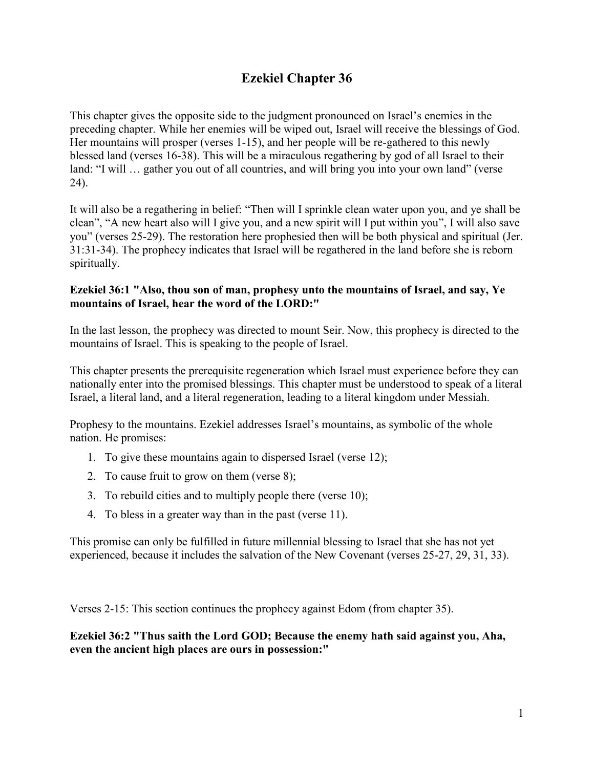# **Ezekiel Chapter 36**

This chapter gives the opposite side to the judgment pronounced on Israel's enemies in the preceding chapter. While her enemies will be wiped out, Israel will receive the blessings of God. Her mountains will prosper (verses 1-15), and her people will be re-gathered to this newly blessed land (verses 16-38). This will be a miraculous regathering by god of all Israel to their land: "I will ... gather you out of all countries, and will bring you into your own land" (verse 24).

It will also be a regathering in belief: "Then will I sprinkle clean water upon you, and ye shall be clean", "A new heart also will I give you, and a new spirit will I put within you", I will also save you" (verses 25-29). The restoration here prophesied then will be both physical and spiritual (Jer. 31:31-34). The prophecy indicates that Israel will be regathered in the land before she is reborn spiritually.

## **Ezekiel 36:1 "Also, thou son of man, prophesy unto the mountains of Israel, and say, Ye mountains of Israel, hear the word of the LORD:"**

In the last lesson, the prophecy was directed to mount Seir. Now, this prophecy is directed to the mountains of Israel. This is speaking to the people of Israel.

This chapter presents the prerequisite regeneration which Israel must experience before they can nationally enter into the promised blessings. This chapter must be understood to speak of a literal Israel, a literal land, and a literal regeneration, leading to a literal kingdom under Messiah.

Prophesy to the mountains. Ezekiel addresses Israel's mountains, as symbolic of the whole nation. He promises:

- 1. To give these mountains again to dispersed Israel (verse 12);
- 2. To cause fruit to grow on them (verse 8);
- 3. To rebuild cities and to multiply people there (verse 10);
- 4. To bless in a greater way than in the past (verse 11).

This promise can only be fulfilled in future millennial blessing to Israel that she has not yet experienced, because it includes the salvation of the New Covenant (verses 25-27, 29, 31, 33).

Verses 2-15: This section continues the prophecy against Edom (from chapter 35).

**Ezekiel 36:2 "Thus saith the Lord GOD; Because the enemy hath said against you, Aha, even the ancient high places are ours in possession:"**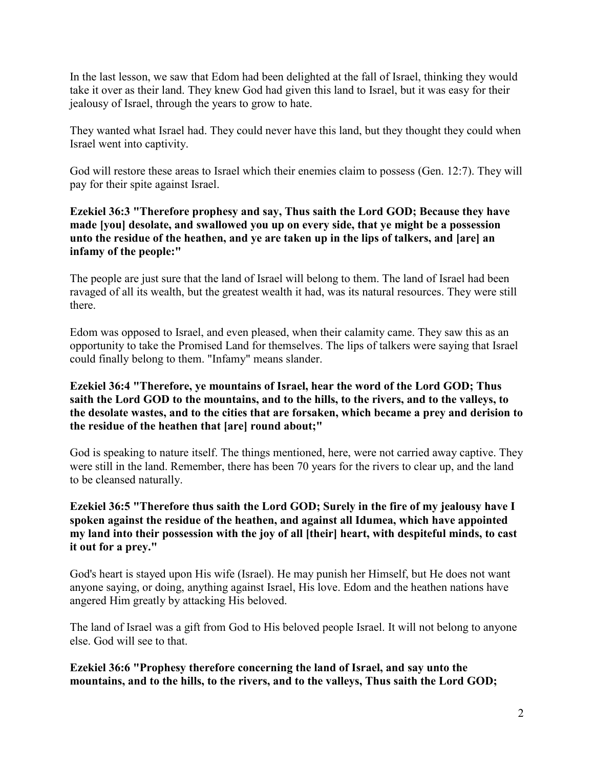In the last lesson, we saw that Edom had been delighted at the fall of Israel, thinking they would take it over as their land. They knew God had given this land to Israel, but it was easy for their jealousy of Israel, through the years to grow to hate.

They wanted what Israel had. They could never have this land, but they thought they could when Israel went into captivity.

God will restore these areas to Israel which their enemies claim to possess (Gen. 12:7). They will pay for their spite against Israel.

# **Ezekiel 36:3 "Therefore prophesy and say, Thus saith the Lord GOD; Because they have made [you] desolate, and swallowed you up on every side, that ye might be a possession unto the residue of the heathen, and ye are taken up in the lips of talkers, and [are] an infamy of the people:"**

The people are just sure that the land of Israel will belong to them. The land of Israel had been ravaged of all its wealth, but the greatest wealth it had, was its natural resources. They were still there.

Edom was opposed to Israel, and even pleased, when their calamity came. They saw this as an opportunity to take the Promised Land for themselves. The lips of talkers were saying that Israel could finally belong to them. "Infamy" means slander.

# **Ezekiel 36:4 "Therefore, ye mountains of Israel, hear the word of the Lord GOD; Thus saith the Lord GOD to the mountains, and to the hills, to the rivers, and to the valleys, to the desolate wastes, and to the cities that are forsaken, which became a prey and derision to the residue of the heathen that [are] round about;"**

God is speaking to nature itself. The things mentioned, here, were not carried away captive. They were still in the land. Remember, there has been 70 years for the rivers to clear up, and the land to be cleansed naturally.

# **Ezekiel 36:5 "Therefore thus saith the Lord GOD; Surely in the fire of my jealousy have I spoken against the residue of the heathen, and against all Idumea, which have appointed my land into their possession with the joy of all [their] heart, with despiteful minds, to cast it out for a prey."**

God's heart is stayed upon His wife (Israel). He may punish her Himself, but He does not want anyone saying, or doing, anything against Israel, His love. Edom and the heathen nations have angered Him greatly by attacking His beloved.

The land of Israel was a gift from God to His beloved people Israel. It will not belong to anyone else. God will see to that.

**Ezekiel 36:6 "Prophesy therefore concerning the land of Israel, and say unto the mountains, and to the hills, to the rivers, and to the valleys, Thus saith the Lord GOD;**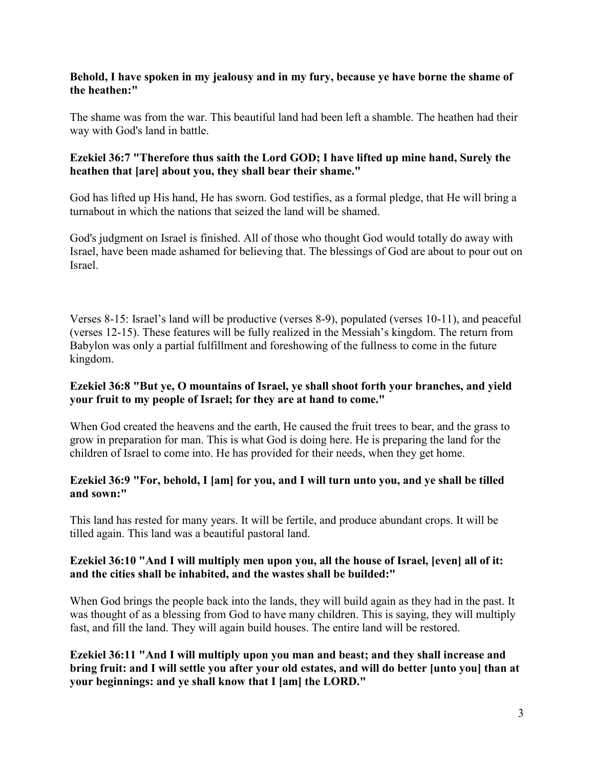## **Behold, I have spoken in my jealousy and in my fury, because ye have borne the shame of the heathen:"**

The shame was from the war. This beautiful land had been left a shamble. The heathen had their way with God's land in battle.

## **Ezekiel 36:7 "Therefore thus saith the Lord GOD; I have lifted up mine hand, Surely the heathen that [are] about you, they shall bear their shame."**

God has lifted up His hand, He has sworn. God testifies, as a formal pledge, that He will bring a turnabout in which the nations that seized the land will be shamed.

God's judgment on Israel is finished. All of those who thought God would totally do away with Israel, have been made ashamed for believing that. The blessings of God are about to pour out on Israel.

Verses 8-15: Israel's land will be productive (verses 8-9), populated (verses 10-11), and peaceful (verses 12-15). These features will be fully realized in the Messiah's kingdom. The return from Babylon was only a partial fulfillment and foreshowing of the fullness to come in the future kingdom.

# **Ezekiel 36:8 "But ye, O mountains of Israel, ye shall shoot forth your branches, and yield your fruit to my people of Israel; for they are at hand to come."**

When God created the heavens and the earth, He caused the fruit trees to bear, and the grass to grow in preparation for man. This is what God is doing here. He is preparing the land for the children of Israel to come into. He has provided for their needs, when they get home.

# **Ezekiel 36:9 "For, behold, I [am] for you, and I will turn unto you, and ye shall be tilled and sown:"**

This land has rested for many years. It will be fertile, and produce abundant crops. It will be tilled again. This land was a beautiful pastoral land.

## **Ezekiel 36:10 "And I will multiply men upon you, all the house of Israel, [even] all of it: and the cities shall be inhabited, and the wastes shall be builded:"**

When God brings the people back into the lands, they will build again as they had in the past. It was thought of as a blessing from God to have many children. This is saying, they will multiply fast, and fill the land. They will again build houses. The entire land will be restored.

**Ezekiel 36:11 "And I will multiply upon you man and beast; and they shall increase and bring fruit: and I will settle you after your old estates, and will do better [unto you] than at your beginnings: and ye shall know that I [am] the LORD."**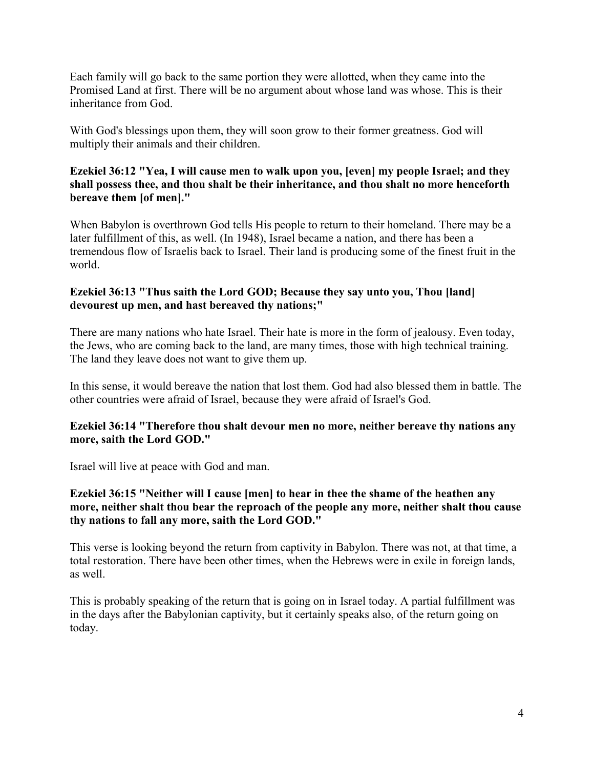Each family will go back to the same portion they were allotted, when they came into the Promised Land at first. There will be no argument about whose land was whose. This is their inheritance from God.

With God's blessings upon them, they will soon grow to their former greatness. God will multiply their animals and their children.

# **Ezekiel 36:12 "Yea, I will cause men to walk upon you, [even] my people Israel; and they shall possess thee, and thou shalt be their inheritance, and thou shalt no more henceforth bereave them [of men]."**

When Babylon is overthrown God tells His people to return to their homeland. There may be a later fulfillment of this, as well. (In 1948), Israel became a nation, and there has been a tremendous flow of Israelis back to Israel. Their land is producing some of the finest fruit in the world.

# **Ezekiel 36:13 "Thus saith the Lord GOD; Because they say unto you, Thou [land] devourest up men, and hast bereaved thy nations;"**

There are many nations who hate Israel. Their hate is more in the form of jealousy. Even today, the Jews, who are coming back to the land, are many times, those with high technical training. The land they leave does not want to give them up.

In this sense, it would bereave the nation that lost them. God had also blessed them in battle. The other countries were afraid of Israel, because they were afraid of Israel's God.

# **Ezekiel 36:14 "Therefore thou shalt devour men no more, neither bereave thy nations any more, saith the Lord GOD."**

Israel will live at peace with God and man.

# **Ezekiel 36:15 "Neither will I cause [men] to hear in thee the shame of the heathen any more, neither shalt thou bear the reproach of the people any more, neither shalt thou cause thy nations to fall any more, saith the Lord GOD."**

This verse is looking beyond the return from captivity in Babylon. There was not, at that time, a total restoration. There have been other times, when the Hebrews were in exile in foreign lands, as well.

This is probably speaking of the return that is going on in Israel today. A partial fulfillment was in the days after the Babylonian captivity, but it certainly speaks also, of the return going on today.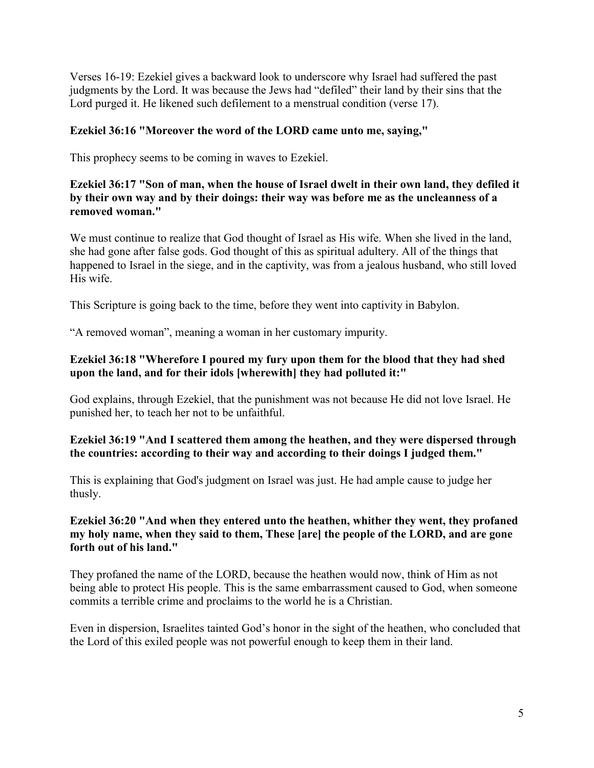Verses 16-19: Ezekiel gives a backward look to underscore why Israel had suffered the past judgments by the Lord. It was because the Jews had "defiled" their land by their sins that the Lord purged it. He likened such defilement to a menstrual condition (verse 17).

# **Ezekiel 36:16 "Moreover the word of the LORD came unto me, saying,"**

This prophecy seems to be coming in waves to Ezekiel.

# **Ezekiel 36:17 "Son of man, when the house of Israel dwelt in their own land, they defiled it by their own way and by their doings: their way was before me as the uncleanness of a removed woman."**

We must continue to realize that God thought of Israel as His wife. When she lived in the land, she had gone after false gods. God thought of this as spiritual adultery. All of the things that happened to Israel in the siege, and in the captivity, was from a jealous husband, who still loved His wife.

This Scripture is going back to the time, before they went into captivity in Babylon.

"A removed woman", meaning a woman in her customary impurity.

# **Ezekiel 36:18 "Wherefore I poured my fury upon them for the blood that they had shed upon the land, and for their idols [wherewith] they had polluted it:"**

God explains, through Ezekiel, that the punishment was not because He did not love Israel. He punished her, to teach her not to be unfaithful.

# **Ezekiel 36:19 "And I scattered them among the heathen, and they were dispersed through the countries: according to their way and according to their doings I judged them."**

This is explaining that God's judgment on Israel was just. He had ample cause to judge her thusly.

## **Ezekiel 36:20 "And when they entered unto the heathen, whither they went, they profaned my holy name, when they said to them, These [are] the people of the LORD, and are gone forth out of his land."**

They profaned the name of the LORD, because the heathen would now, think of Him as not being able to protect His people. This is the same embarrassment caused to God, when someone commits a terrible crime and proclaims to the world he is a Christian.

Even in dispersion, Israelites tainted God's honor in the sight of the heathen, who concluded that the Lord of this exiled people was not powerful enough to keep them in their land.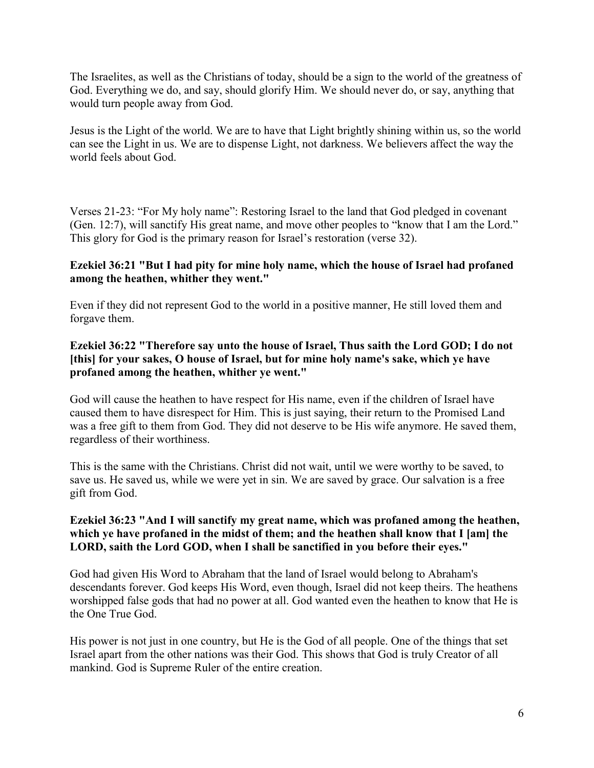The Israelites, as well as the Christians of today, should be a sign to the world of the greatness of God. Everything we do, and say, should glorify Him. We should never do, or say, anything that would turn people away from God.

Jesus is the Light of the world. We are to have that Light brightly shining within us, so the world can see the Light in us. We are to dispense Light, not darkness. We believers affect the way the world feels about God.

Verses 21-23: "For My holy name": Restoring Israel to the land that God pledged in covenant (Gen. 12:7), will sanctify His great name, and move other peoples to "know that I am the Lord." This glory for God is the primary reason for Israel's restoration (verse 32).

## **Ezekiel 36:21 "But I had pity for mine holy name, which the house of Israel had profaned among the heathen, whither they went."**

Even if they did not represent God to the world in a positive manner, He still loved them and forgave them.

## **Ezekiel 36:22 "Therefore say unto the house of Israel, Thus saith the Lord GOD; I do not [this] for your sakes, O house of Israel, but for mine holy name's sake, which ye have profaned among the heathen, whither ye went."**

God will cause the heathen to have respect for His name, even if the children of Israel have caused them to have disrespect for Him. This is just saying, their return to the Promised Land was a free gift to them from God. They did not deserve to be His wife anymore. He saved them, regardless of their worthiness.

This is the same with the Christians. Christ did not wait, until we were worthy to be saved, to save us. He saved us, while we were yet in sin. We are saved by grace. Our salvation is a free gift from God.

## **Ezekiel 36:23 "And I will sanctify my great name, which was profaned among the heathen, which ye have profaned in the midst of them; and the heathen shall know that I [am] the LORD, saith the Lord GOD, when I shall be sanctified in you before their eyes."**

God had given His Word to Abraham that the land of Israel would belong to Abraham's descendants forever. God keeps His Word, even though, Israel did not keep theirs. The heathens worshipped false gods that had no power at all. God wanted even the heathen to know that He is the One True God.

His power is not just in one country, but He is the God of all people. One of the things that set Israel apart from the other nations was their God. This shows that God is truly Creator of all mankind. God is Supreme Ruler of the entire creation.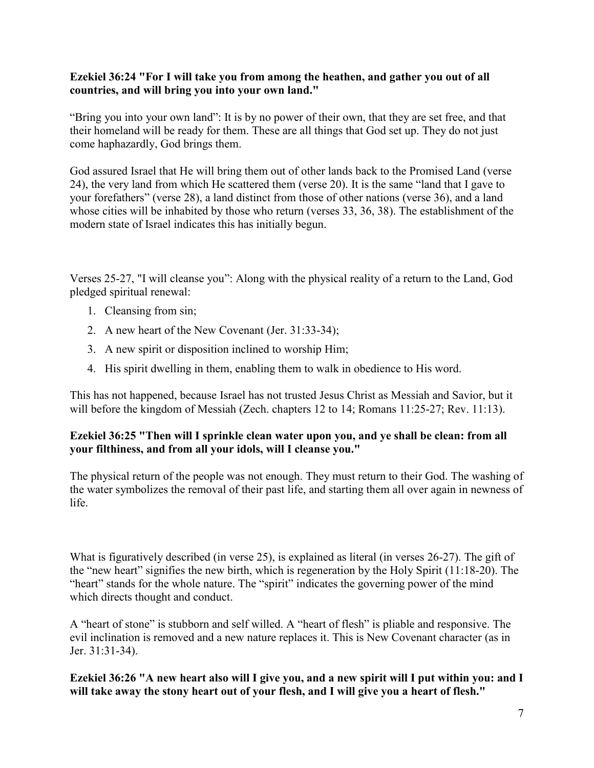### **Ezekiel 36:24 "For I will take you from among the heathen, and gather you out of all countries, and will bring you into your own land."**

"Bring you into your own land": It is by no power of their own, that they are set free, and that their homeland will be ready for them. These are all things that God set up. They do not just come haphazardly, God brings them.

God assured Israel that He will bring them out of other lands back to the Promised Land (verse 24), the very land from which He scattered them (verse 20). It is the same "land that I gave to your forefathers" (verse 28), a land distinct from those of other nations (verse 36), and a land whose cities will be inhabited by those who return (verses 33, 36, 38). The establishment of the modern state of Israel indicates this has initially begun.

Verses 25-27, "I will cleanse you": Along with the physical reality of a return to the Land, God pledged spiritual renewal:

- 1. Cleansing from sin;
- 2. A new heart of the New Covenant (Jer. 31:33-34);
- 3. A new spirit or disposition inclined to worship Him;
- 4. His spirit dwelling in them, enabling them to walk in obedience to His word.

This has not happened, because Israel has not trusted Jesus Christ as Messiah and Savior, but it will before the kingdom of Messiah (Zech. chapters 12 to 14; Romans 11:25-27; Rev. 11:13).

# **Ezekiel 36:25 "Then will I sprinkle clean water upon you, and ye shall be clean: from all your filthiness, and from all your idols, will I cleanse you."**

The physical return of the people was not enough. They must return to their God. The washing of the water symbolizes the removal of their past life, and starting them all over again in newness of life.

What is figuratively described (in verse 25), is explained as literal (in verses 26-27). The gift of the "new heart" signifies the new birth, which is regeneration by the Holy Spirit (11:18-20). The "heart" stands for the whole nature. The "spirit" indicates the governing power of the mind which directs thought and conduct.

A "heart of stone" is stubborn and self willed. A "heart of flesh" is pliable and responsive. The evil inclination is removed and a new nature replaces it. This is New Covenant character (as in Jer. 31:31-34).

**Ezekiel 36:26 "A new heart also will I give you, and a new spirit will I put within you: and I will take away the stony heart out of your flesh, and I will give you a heart of flesh."**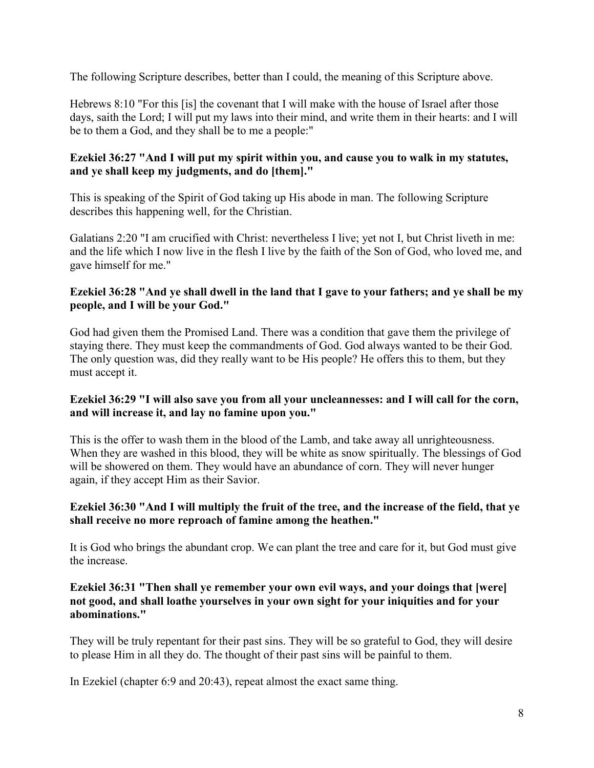The following Scripture describes, better than I could, the meaning of this Scripture above.

Hebrews 8:10 "For this [is] the covenant that I will make with the house of Israel after those days, saith the Lord; I will put my laws into their mind, and write them in their hearts: and I will be to them a God, and they shall be to me a people:"

# **Ezekiel 36:27 "And I will put my spirit within you, and cause you to walk in my statutes, and ye shall keep my judgments, and do [them]."**

This is speaking of the Spirit of God taking up His abode in man. The following Scripture describes this happening well, for the Christian.

Galatians 2:20 "I am crucified with Christ: nevertheless I live; yet not I, but Christ liveth in me: and the life which I now live in the flesh I live by the faith of the Son of God, who loved me, and gave himself for me."

## **Ezekiel 36:28 "And ye shall dwell in the land that I gave to your fathers; and ye shall be my people, and I will be your God."**

God had given them the Promised Land. There was a condition that gave them the privilege of staying there. They must keep the commandments of God. God always wanted to be their God. The only question was, did they really want to be His people? He offers this to them, but they must accept it.

# **Ezekiel 36:29 "I will also save you from all your uncleannesses: and I will call for the corn, and will increase it, and lay no famine upon you."**

This is the offer to wash them in the blood of the Lamb, and take away all unrighteousness. When they are washed in this blood, they will be white as snow spiritually. The blessings of God will be showered on them. They would have an abundance of corn. They will never hunger again, if they accept Him as their Savior.

# **Ezekiel 36:30 "And I will multiply the fruit of the tree, and the increase of the field, that ye shall receive no more reproach of famine among the heathen."**

It is God who brings the abundant crop. We can plant the tree and care for it, but God must give the increase.

## **Ezekiel 36:31 "Then shall ye remember your own evil ways, and your doings that [were] not good, and shall loathe yourselves in your own sight for your iniquities and for your abominations."**

They will be truly repentant for their past sins. They will be so grateful to God, they will desire to please Him in all they do. The thought of their past sins will be painful to them.

In Ezekiel (chapter 6:9 and 20:43), repeat almost the exact same thing.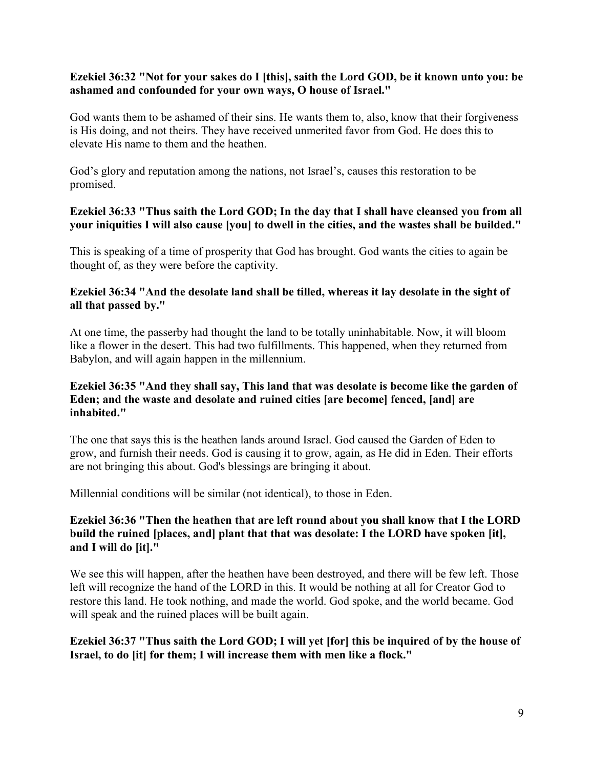## **Ezekiel 36:32 "Not for your sakes do I [this], saith the Lord GOD, be it known unto you: be ashamed and confounded for your own ways, O house of Israel."**

God wants them to be ashamed of their sins. He wants them to, also, know that their forgiveness is His doing, and not theirs. They have received unmerited favor from God. He does this to elevate His name to them and the heathen.

God's glory and reputation among the nations, not Israel's, causes this restoration to be promised.

## **Ezekiel 36:33 "Thus saith the Lord GOD; In the day that I shall have cleansed you from all your iniquities I will also cause [you] to dwell in the cities, and the wastes shall be builded."**

This is speaking of a time of prosperity that God has brought. God wants the cities to again be thought of, as they were before the captivity.

## **Ezekiel 36:34 "And the desolate land shall be tilled, whereas it lay desolate in the sight of all that passed by."**

At one time, the passerby had thought the land to be totally uninhabitable. Now, it will bloom like a flower in the desert. This had two fulfillments. This happened, when they returned from Babylon, and will again happen in the millennium.

## **Ezekiel 36:35 "And they shall say, This land that was desolate is become like the garden of Eden; and the waste and desolate and ruined cities [are become] fenced, [and] are inhabited."**

The one that says this is the heathen lands around Israel. God caused the Garden of Eden to grow, and furnish their needs. God is causing it to grow, again, as He did in Eden. Their efforts are not bringing this about. God's blessings are bringing it about.

Millennial conditions will be similar (not identical), to those in Eden.

## **Ezekiel 36:36 "Then the heathen that are left round about you shall know that I the LORD build the ruined [places, and] plant that that was desolate: I the LORD have spoken [it], and I will do [it]."**

We see this will happen, after the heathen have been destroyed, and there will be few left. Those left will recognize the hand of the LORD in this. It would be nothing at all for Creator God to restore this land. He took nothing, and made the world. God spoke, and the world became. God will speak and the ruined places will be built again.

## **Ezekiel 36:37 "Thus saith the Lord GOD; I will yet [for] this be inquired of by the house of Israel, to do [it] for them; I will increase them with men like a flock."**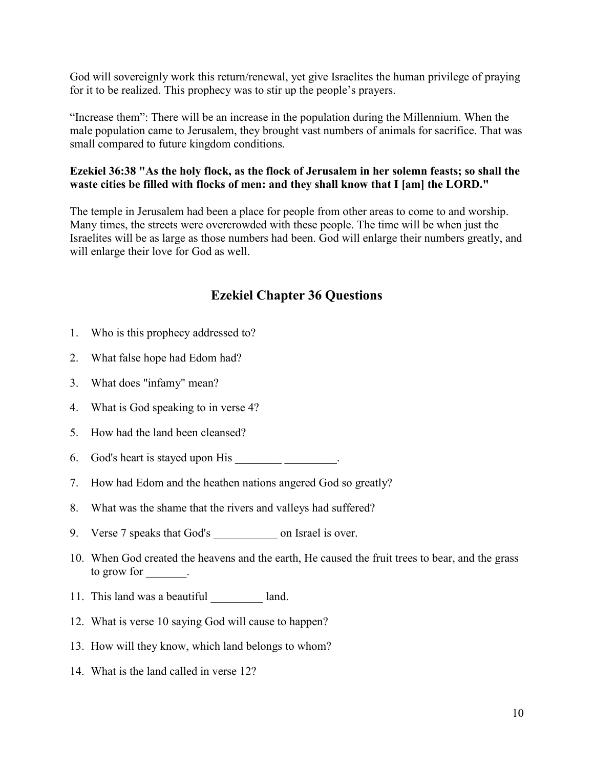God will sovereignly work this return/renewal, yet give Israelites the human privilege of praying for it to be realized. This prophecy was to stir up the people's prayers.

"Increase them": There will be an increase in the population during the Millennium. When the male population came to Jerusalem, they brought vast numbers of animals for sacrifice. That was small compared to future kingdom conditions.

# **Ezekiel 36:38 "As the holy flock, as the flock of Jerusalem in her solemn feasts; so shall the waste cities be filled with flocks of men: and they shall know that I [am] the LORD."**

The temple in Jerusalem had been a place for people from other areas to come to and worship. Many times, the streets were overcrowded with these people. The time will be when just the Israelites will be as large as those numbers had been. God will enlarge their numbers greatly, and will enlarge their love for God as well.

# **Ezekiel Chapter 36 Questions**

- 1. Who is this prophecy addressed to?
- 2. What false hope had Edom had?
- 3. What does "infamy" mean?
- 4. What is God speaking to in verse 4?
- 5. How had the land been cleansed?
- 6. God's heart is stayed upon His \_\_\_\_\_\_\_\_\_\_\_\_\_\_.
- 7. How had Edom and the heathen nations angered God so greatly?
- 8. What was the shame that the rivers and valleys had suffered?
- 9. Verse 7 speaks that God's \_\_\_\_\_\_\_\_\_\_\_\_\_\_\_ on Israel is over.
- 10. When God created the heavens and the earth, He caused the fruit trees to bear, and the grass to grow for  $\qquad$ .
- 11. This land was a beautiful land.
- 12. What is verse 10 saying God will cause to happen?
- 13. How will they know, which land belongs to whom?
- 14. What is the land called in verse 12?